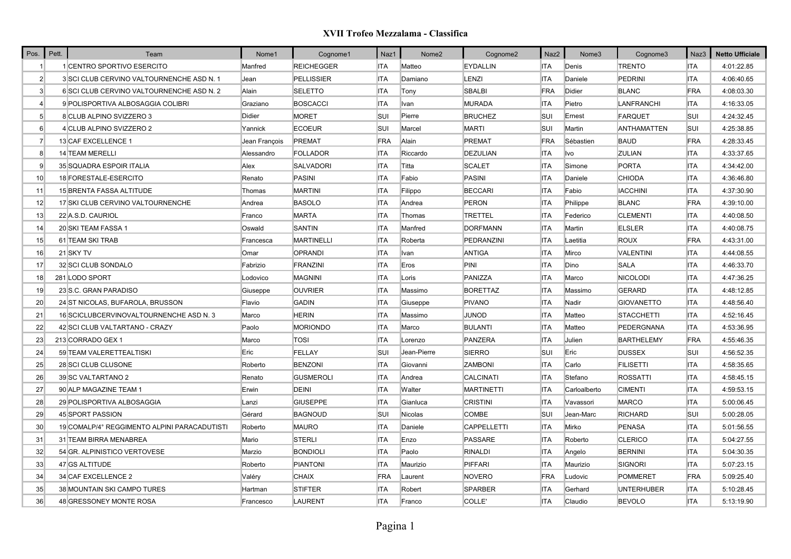| Pos.            | Pett. | Team                                         | Nome1         | Cognome1          | Naz1       | Nome <sub>2</sub> | Cognome2           | Naz2       | Nome3        | Cognome3           | Naz3       | <b>Netto Ufficiale</b> |
|-----------------|-------|----------------------------------------------|---------------|-------------------|------------|-------------------|--------------------|------------|--------------|--------------------|------------|------------------------|
|                 |       | 1 CENTRO SPORTIVO ESERCITO                   | Manfred       | <b>REICHEGGER</b> | <b>ITA</b> | Matteo            | <b>EYDALLIN</b>    | <b>ITA</b> | Denis        | <b>TRENTO</b>      | <b>ITA</b> | 4:01:22.85             |
| $\overline{2}$  |       | 3 SCI CLUB CERVINO VALTOURNENCHE ASD N. 1    | Jean          | <b>PELLISSIER</b> | <b>ITA</b> | Damiano           | LENZI              | <b>ITA</b> | Daniele      | <b>PEDRINI</b>     | <b>ITA</b> | 4:06:40.65             |
| 3 <sup>l</sup>  |       | 6 SCI CLUB CERVINO VALTOURNENCHE ASD N. 2    | Alain         | <b>SELETTO</b>    | <b>ITA</b> | Tony              | <b>SBALBI</b>      | FRA        | Didier       | <b>BLANC</b>       | <b>FRA</b> | 4:08:03.30             |
| $\vert$         |       | 9 POLISPORTIVA ALBOSAGGIA COLIBRI            | Graziano      | <b>BOSCACCI</b>   | <b>ITA</b> | Ivan              | <b>MURADA</b>      | <b>ITA</b> | Pietro       | LANFRANCHI         | <b>ITA</b> | 4:16:33.05             |
| 5 <sup>5</sup>  |       | 8 CLUB ALPINO SVIZZERO 3                     | Didier        | <b>MORET</b>      | SUI        | Pierre            | <b>BRUCHEZ</b>     | <b>SUI</b> | Ernest       | <b>FARQUET</b>     | SUI        | 4:24:32.45             |
| $6 \mid$        |       | 4 CLUB ALPINO SVIZZERO 2                     | Yannick       | <b>ECOEUR</b>     | SUI        | Marcel            | <b>MARTI</b>       | <b>SUI</b> | Martin       | <b>ANTHAMATTEN</b> | SUI        | 4:25:38.85             |
| $\overline{7}$  |       | 13 CAF EXCELLENCE 1                          | Jean François | <b>PREMAT</b>     | FRA        | Alain             | <b>PREMAT</b>      | FRA        | Sébastien    | <b>BAUD</b>        | <b>FRA</b> | 4:28:33.45             |
| 8 <sup>1</sup>  |       | 14 TEAM MERELLI                              | Alessandro    | <b>FOLLADOR</b>   | <b>ITA</b> | Riccardo          | DEZULIAN           | <b>ITA</b> | Ivo          | <b>ZULIAN</b>      | <b>ITA</b> | 4:33:37.65             |
| 9               |       | 35 SQUADRA ESPOIR ITALIA                     | Alex          | <b>SALVADORI</b>  | <b>ITA</b> | Titta             | <b>SCALET</b>      | <b>ITA</b> | Simone       | <b>PORTA</b>       | <b>ITA</b> | 4:34:42.00             |
| 10 <sup>1</sup> |       | 18 FORESTALE-ESERCITO                        | Renato        | PASINI            | <b>ITA</b> | Fabio             | <b>PASINI</b>      | <b>ITA</b> | Daniele      | <b>CHIODA</b>      | <b>ITA</b> | 4:36:46.80             |
| 11              |       | 15 BRENTA FASSA ALTITUDE                     | Thomas        | <b>MARTINI</b>    | <b>ITA</b> | Filippo           | <b>BECCARI</b>     | <b>ITA</b> | Fabio        | <b>IACCHINI</b>    | <b>ITA</b> | 4:37:30.90             |
| 12              |       | 17 SKI CLUB CERVINO VALTOURNENCHE            | Andrea        | <b>BASOLO</b>     | <b>ITA</b> | Andrea            | <b>PERON</b>       | ITA        | Philippe     | <b>BLANC</b>       | <b>FRA</b> | 4:39:10.00             |
| 13              |       | 22 A.S.D. CAURIOL                            | Franco        | <b>MARTA</b>      | <b>ITA</b> | Thomas            | <b>TRETTEL</b>     | <b>ITA</b> | Federico     | <b>CLEMENTI</b>    | <b>ITA</b> | 4:40:08.50             |
| 14              |       | 20 SKI TEAM FASSA 1                          | Oswald        | SANTIN            | <b>ITA</b> | Manfred           | <b>DORFMANN</b>    | <b>ITA</b> | Martin       | <b>ELSLER</b>      | <b>ITA</b> | 4:40:08.75             |
| 15              |       | 61 TEAM SKI TRAB                             | Francesca     | <b>MARTINELLI</b> | <b>ITA</b> | Roberta           | PEDRANZINI         | <b>ITA</b> | Laetitia     | <b>ROUX</b>        | <b>FRA</b> | 4:43:31.00             |
| 16              |       | 21 SKY TV                                    | Omar          | OPRANDI           | <b>ITA</b> | Ivan              | <b>ANTIGA</b>      | <b>ITA</b> | Mirco        | <b>VALENTINI</b>   | <b>ITA</b> | 4:44:08.55             |
| 17              |       | 32 SCI CLUB SONDALO                          | Fabrizio      | FRANZINI          | <b>ITA</b> | Eros              | PINI               | <b>ITA</b> | Dino         | <b>SALA</b>        | <b>ITA</b> | 4:46:33.70             |
| 18              |       | 281 LODO SPORT                               | Lodovico      | <b>MAGNINI</b>    | <b>ITA</b> | Loris             | PANIZZA            | ITA        | Marco        | <b>NICOLODI</b>    | <b>ITA</b> | 4:47:36.25             |
| 19              |       | 23 S.C. GRAN PARADISO                        | Giuseppe      | <b>OUVRIER</b>    | <b>ITA</b> | Massimo           | <b>BORETTAZ</b>    | <b>ITA</b> | Massimo      | <b>GERARD</b>      | <b>ITA</b> | 4:48:12.85             |
| 20              |       | 24 ST NICOLAS, BUFAROLA, BRUSSON             | Flavio        | <b>GADIN</b>      | <b>ITA</b> | Giuseppe          | <b>PIVANO</b>      | <b>ITA</b> | Nadir        | <b>GIOVANETTO</b>  | <b>ITA</b> | 4:48:56.40             |
| 21              |       | 16 SCICLUBCERVINOVALTOURNENCHE ASD N. 3      | Marco         | <b>HERIN</b>      | <b>ITA</b> | Massimo           | <b>JUNOD</b>       | <b>ITA</b> | Matteo       | <b>STACCHETTI</b>  | <b>ITA</b> | 4:52:16.45             |
| 22              |       | 42 SCI CLUB VALTARTANO - CRAZY               | Paolo         | <b>MORIONDO</b>   | <b>ITA</b> | Marco             | <b>BULANTI</b>     | <b>ITA</b> | Matteo       | PEDERGNANA         | <b>ITA</b> | 4:53:36.95             |
| 23              |       | 213 CORRADO GEX 1                            | Marco         | <b>TOSI</b>       | <b>ITA</b> | Lorenzo           | PANZERA            | <b>ITA</b> | Julien       | <b>BARTHELEMY</b>  | FRA        | 4:55:46.35             |
| 24              |       | 59 TEAM VALERETTEALTISKI                     | Eric          | FELLAY            | SUI        | Jean-Pierre       | <b>SIERRO</b>      | <b>SUI</b> | Eric         | <b>DUSSEX</b>      | SUI        | 4:56:52.35             |
| 25              |       | 28 SCI CLUB CLUSONE                          | Roberto       | <b>BENZONI</b>    | <b>ITA</b> | Giovanni          | <b>ZAMBONI</b>     | ITA        | Carlo        | <b>FILISETTI</b>   | <b>ITA</b> | 4:58:35.65             |
| 26              |       | 39 SC VALTARTANO 2                           | Renato        | <b>GUSMEROLI</b>  | <b>ITA</b> | Andrea            | <b>CALCINATI</b>   | ITA        | Stefano      | <b>ROSSATTI</b>    | <b>ITA</b> | 4:58:45.15             |
| 27              |       | 90 ALP MAGAZINE TEAM 1                       | Erwin         | <b>DEINI</b>      | <b>ITA</b> | Walter            | <b>MARTINETTI</b>  | <b>ITA</b> | Carloalberto | <b>CIMENTI</b>     | <b>ITA</b> | 4:59:53.15             |
| 28              |       | 29 POLISPORTIVA ALBOSAGGIA                   | Lanzi         | <b>GIUSEPPE</b>   | <b>ITA</b> | Gianluca          | <b>CRISTINI</b>    | <b>ITA</b> | Vavassori    | <b>MARCO</b>       | <b>ITA</b> | 5:00:06.45             |
| 29              |       | 45 SPORT PASSION                             | Gérard        | <b>BAGNOUD</b>    | <b>SUI</b> | Nicolas           | <b>COMBE</b>       | <b>SUI</b> | Jean-Marc    | <b>RICHARD</b>     | SUI        | 5:00:28.05             |
| 30              |       | 19 COMALP/4° REGGIMENTO ALPINI PARACADUTISTI | Roberto       | <b>MAURO</b>      | <b>ITA</b> | Daniele           | <b>CAPPELLETTI</b> | <b>ITA</b> | Mirko        | <b>PENASA</b>      | <b>ITA</b> | 5:01:56.55             |
| 31              |       | 31 TEAM BIRRA MENABREA                       | Mario         | <b>STERLI</b>     | <b>ITA</b> | Enzo              | <b>PASSARE</b>     | <b>ITA</b> | Roberto      | <b>CLERICO</b>     | <b>ITA</b> | 5:04:27.55             |
| 32              |       | 54 GR. ALPINISTICO VERTOVESE                 | Marzio        | <b>BONDIOLI</b>   | <b>ITA</b> | Paolo             | <b>RINALDI</b>     | <b>ITA</b> | Angelo       | <b>BERNINI</b>     | <b>ITA</b> | 5:04:30.35             |
| 33              |       | 47 GS ALTITUDE                               | Roberto       | <b>PIANTONI</b>   | <b>ITA</b> | Maurizio          | PIFFARI            | <b>ITA</b> | Maurizio     | SIGNORI            | <b>ITA</b> | 5:07:23.15             |
| 34              |       | 34 CAF EXCELLENCE 2                          | Valéry        | <b>CHAIX</b>      | FRA        | Laurent           | <b>NOVERO</b>      | FRA        | Ludovic      | <b>POMMERET</b>    | FRA        | 5:09:25.40             |
| 35              |       | 38 MOUNTAIN SKI CAMPO TURES                  | Hartman       | <b>STIFTER</b>    | <b>ITA</b> | Robert            | <b>SPARBER</b>     | ITA        | Gerhard      | <b>UNTERHUBER</b>  | <b>ITA</b> | 5:10:28.45             |
| 36              |       | 48 GRESSONEY MONTE ROSA                      | Francesco     | LAURENT           | <b>ITA</b> | Franco            | COLLE'             | <b>ITA</b> | Claudio      | <b>BEVOLO</b>      | <b>ITA</b> | 5:13:19.90             |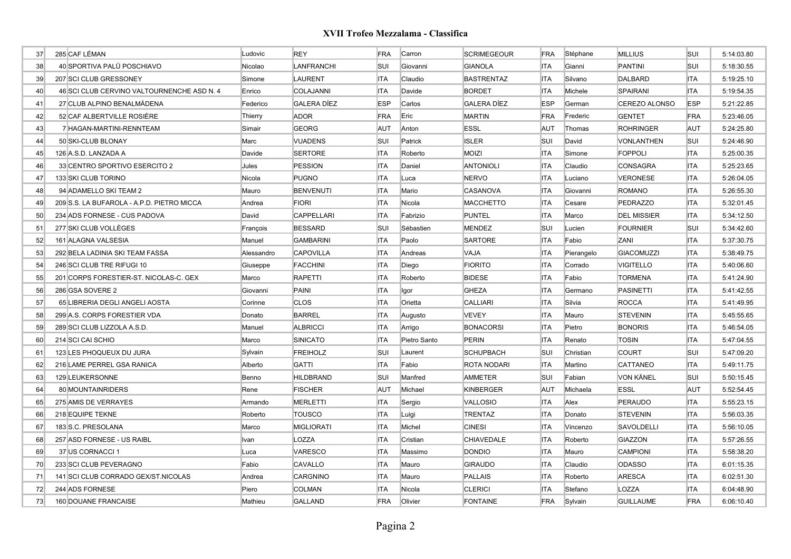| 37 | 285 CAF LÉMAN                              | Ludovic    | <b>REY</b>         | FRA        | Carron       | SCRIMEGEOUR        | <b>FRA</b> | Stéphane   | <b>MILLIUS</b>     | SUI        | 5:14:03.80 |
|----|--------------------------------------------|------------|--------------------|------------|--------------|--------------------|------------|------------|--------------------|------------|------------|
| 38 | 40 SPORTIVA PALÜ POSCHIAVO                 | Nicolao    | LANFRANCHI         | <b>SUI</b> | Giovanni     | <b>GIANOLA</b>     | <b>ITA</b> | Gianni     | <b>PANTINI</b>     | SUI        | 5:18:30.55 |
| 39 | 207 SCI CLUB GRESSONEY                     | Simone     | <b>LAURENT</b>     | <b>ITA</b> | Claudio      | <b>BASTRENTAZ</b>  | <b>ITA</b> | Silvano    | <b>DALBARD</b>     | <b>ITA</b> | 5:19:25.10 |
| 40 | 46 SCI CLUB CERVINO VALTOURNENCHE ASD N. 4 | Enrico     | COLAJANNI          | <b>ITA</b> | Davide       | <b>BORDET</b>      | ITA        | Michele    | <b>SPAIRANI</b>    | <b>ITA</b> | 5:19:54.35 |
| 41 | 27 CLUB ALPINO BENALMÁDENA                 | Federico   | <b>GALERA DÍEZ</b> | <b>ESP</b> | Carlos       | <b>GALERA DÍEZ</b> | <b>ESP</b> | German     | CEREZO ALONSO      | <b>ESP</b> | 5:21:22.85 |
| 42 | 52 CAF ALBERTVILLE ROSIÈRE                 | Thierry    | <b>ADOR</b>        | FRA        | Eric         | <b>MARTIN</b>      | FRA        | Frederic   | <b>GENTET</b>      | FRA        | 5:23:46.05 |
| 43 | 7 HAGAN-MARTINI-RENNTEAM                   | Simair     | <b>GEORG</b>       | <b>AUT</b> | Anton        | <b>ESSL</b>        | <b>AUT</b> | Thomas     | <b>ROHRINGER</b>   | <b>AUT</b> | 5:24:25.80 |
| 44 | 50 SKI-CLUB BLONAY                         | Marc       | <b>VUADENS</b>     | <b>SUI</b> | Patrick      | <b>ISLER</b>       | SUI        | David      | <b>VONLANTHEN</b>  | <b>SUI</b> | 5:24:46.90 |
| 45 | 126 A.S.D. LANZADA A                       | Davide     | <b>SERTORE</b>     | <b>ITA</b> | Roberto      | <b>MOIZI</b>       | <b>ITA</b> | Simone     | <b>FOPPOLI</b>     | <b>ITA</b> | 5:25:00.35 |
| 46 | 33 CENTRO SPORTIVO ESERCITO 2              | Jules      | <b>PESSION</b>     | <b>ITA</b> | Daniel       | <b>ANTONIOLI</b>   | <b>ITA</b> | Claudio    | <b>CONSAGRA</b>    | <b>ITA</b> | 5:25:23.65 |
| 47 | 133 SKI CLUB TORINO                        | Nicola     | <b>PUGNO</b>       | <b>ITA</b> | Luca         | <b>NERVO</b>       | <b>ITA</b> | Luciano    | <b>VERONESE</b>    | <b>ITA</b> | 5:26:04.05 |
| 48 | 94 ADAMELLO SKI TEAM 2                     | Mauro      | <b>BENVENUTI</b>   | <b>ITA</b> | Mario        | CASANOVA           | <b>ITA</b> | Giovanni   | <b>ROMANO</b>      | <b>ITA</b> | 5:26:55.30 |
| 49 | 209 S.S. LA BUFAROLA - A.P.D. PIETRO MICCA | Andrea     | <b>FIORI</b>       | <b>ITA</b> | Nicola       | MACCHETTO          | <b>ITA</b> | Cesare     | <b>PEDRAZZO</b>    | <b>ITA</b> | 5:32:01.45 |
| 50 | 234 ADS FORNESE - CUS PADOVA               | David      | <b>CAPPELLARI</b>  | <b>ITA</b> | Fabrizio     | <b>PUNTEL</b>      | <b>ITA</b> | Marco      | <b>DEL MISSIER</b> | <b>ITA</b> | 5:34:12.50 |
| 51 | 277 SKI CLUB VOLLÈGES                      | François   | <b>BESSARD</b>     | SUI        | Sébastien    | <b>MENDEZ</b>      | SUI        | Lucien     | <b>FOURNIER</b>    | SUI        | 5:34:42.60 |
| 52 | 161 ALAGNA VALSESIA                        | Manuel     | <b>GAMBARINI</b>   | <b>ITA</b> | Paolo        | <b>SARTORE</b>     | <b>ITA</b> | Fabio      | <b>ZANI</b>        | <b>ITA</b> | 5:37:30.75 |
| 53 | 292 BELA LADINIA SKI TEAM FASSA            | Alessandro | <b>CAPOVILLA</b>   | <b>ITA</b> | Andreas      | <b>VAJA</b>        | <b>ITA</b> | Pierangelo | <b>GIACOMUZZI</b>  | ITA        | 5:38:49.75 |
| 54 | 246 SCI CLUB TRE RIFUGI 10                 | Giuseppe   | <b>FACCHINI</b>    | <b>ITA</b> | Diego        | <b>FIORITO</b>     | <b>ITA</b> | Corrado    | <b>VIGITELLO</b>   | ITA        | 5:40:06.60 |
| 55 | 201 CORPS FORESTIER-ST. NICOLAS-C. GEX     | Marco      | <b>RAPETTI</b>     | <b>ITA</b> | Roberto      | <b>BIDESE</b>      | <b>ITA</b> | Fabio      | <b>TORMENA</b>     | <b>ITA</b> | 5:41:24.90 |
| 56 | 286 GSA SOVERE 2                           | Giovanni   | PAINI              | <b>ITA</b> | Igor         | GHEZA              | <b>ITA</b> | Germano    | <b>PASINETTI</b>   | ITA        | 5:41:42.55 |
| 57 | 65 LIBRERIA DEGLI ANGELI AOSTA             | Corinne    | <b>CLOS</b>        | <b>ITA</b> | Orietta      | CALLIARI           | <b>ITA</b> | Silvia     | <b>ROCCA</b>       | <b>ITA</b> | 5:41:49.95 |
| 58 | 299 A.S. CORPS FORESTIER VDA               | Donato     | <b>BARREL</b>      | <b>ITA</b> | Augusto      | VEVEY              | <b>ITA</b> | Mauro      | <b>STEVENIN</b>    | <b>ITA</b> | 5:45:55.65 |
| 59 | 289 SCI CLUB LIZZOLA A.S.D.                | Manuel     | <b>ALBRICCI</b>    | <b>ITA</b> | Arrigo       | <b>BONACORSI</b>   | <b>ITA</b> | Pietro     | <b>BONORIS</b>     | <b>ITA</b> | 5:46:54.05 |
| 60 | 214 SCI CAI SCHIO                          | Marco      | <b>SINICATO</b>    | <b>ITA</b> | Pietro Santo | PERIN              | <b>ITA</b> | Renato     | <b>TOSIN</b>       | <b>ITA</b> | 5:47:04.55 |
| 61 | 123 LES PHOQUEUX DU JURA                   | Sylvain    | <b>FREIHOLZ</b>    | <b>SUI</b> | Laurent      | <b>SCHUPBACH</b>   | SUI        | Christian  | <b>COURT</b>       | <b>SUI</b> | 5:47:09.20 |
| 62 | 216 LAME PERREL GSA RANICA                 | Alberto    | <b>GATTI</b>       | <b>ITA</b> | Fabio        | ROTA NODARI        | <b>ITA</b> | Martino    | CATTANEO           | <b>ITA</b> | 5:49:11.75 |
| 63 | 129 LEUKERSONNE                            | Benno      | <b>HILDBRAND</b>   | <b>SUI</b> | Manfred      | <b>AMMETER</b>     | SUI        | Fabian     | <b>VON KÄNEL</b>   | <b>SUI</b> | 5:50:15.45 |
| 64 | 80 MOUNTAINRIDERS                          | Rene       | <b>FISCHER</b>     | AUT        | Michael      | <b>KINBERGER</b>   | <b>AUT</b> | Michaela   | <b>ESSL</b>        | <b>AUT</b> | 5:52:54.45 |
| 65 | 275 AMIS DE VERRAYES                       | Armando    | <b>MERLETTI</b>    | <b>ITA</b> | Sergio       | <b>VALLOSIO</b>    | ITA        | Alex       | <b>PERAUDO</b>     | <b>ITA</b> | 5:55:23.15 |
| 66 | 218 EQUIPE TEKNE                           | Roberto    | <b>TOUSCO</b>      | <b>ITA</b> | Luigi        | <b>TRENTAZ</b>     | ITA        | Donato     | <b>STEVENIN</b>    | <b>ITA</b> | 5:56:03.35 |
| 67 | 183 S.C. PRESOLANA                         | Marco      | <b>MIGLIORATI</b>  | <b>ITA</b> | Michel       | <b>CINESI</b>      | ITA        | Vincenzo   | SAVOLDELLI         | <b>ITA</b> | 5:56:10.05 |
| 68 | 257 ASD FORNESE - US RAIBL                 | Ivan       | LOZZA              | <b>ITA</b> | Cristian     | CHIAVEDALE         | <b>ITA</b> | Roberto    | <b>GIAZZON</b>     | <b>ITA</b> | 5:57:26.55 |
| 69 | 37 US CORNACCI 1                           | Luca       | <b>VARESCO</b>     | <b>ITA</b> | Massimo      | <b>DONDIO</b>      | ITA        | Mauro      | <b>CAMPIONI</b>    | <b>ITA</b> | 5:58:38.20 |
| 70 | 233 SCI CLUB PEVERAGNO                     | Fabio      | CAVALLO            | <b>ITA</b> | Mauro        | <b>GIRAUDO</b>     | <b>ITA</b> | Claudio    | <b>ODASSO</b>      | <b>ITA</b> | 6:01:15.35 |
| 71 | 141 SCI CLUB CORRADO GEX/ST.NICOLAS        | Andrea     | CARGNINO           | <b>ITA</b> | Mauro        | PALLAIS            | <b>ITA</b> | Roberto    | <b>ARESCA</b>      | <b>ITA</b> | 6:02:51.30 |
| 72 | 244 ADS FORNESE                            | Piero      | <b>COLMAN</b>      | <b>ITA</b> | Nicola       | <b>CLERICI</b>     | <b>ITA</b> | Stefano    | LOZZA              | <b>ITA</b> | 6:04:48.90 |
| 73 | 160 DOUANE FRANCAISE                       | Mathieu    | <b>GALLAND</b>     | FRA        | Olivier      | <b>FONTAINE</b>    | <b>FRA</b> | Sylvain    | <b>GUILLAUME</b>   | <b>FRA</b> | 6:06:10.40 |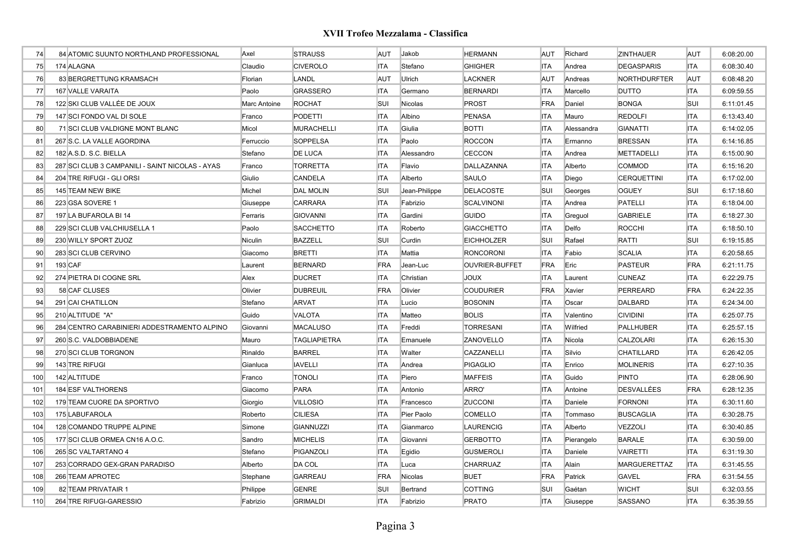| 74  | 84 ATOMIC SUUNTO NORTHLAND PROFESSIONAL         | Axel         | <b>STRAUSS</b>      | AUT        | Jakob         | HERMANN           | <b>AUT</b> | Richard    | <b>ZINTHAUER</b>    | <b>AUT</b> | 6:08:20.00 |
|-----|-------------------------------------------------|--------------|---------------------|------------|---------------|-------------------|------------|------------|---------------------|------------|------------|
| 75  | 174 ALAGNA                                      | Claudio      | <b>CIVEROLO</b>     | <b>ITA</b> | Stefano       | GHIGHER           | <b>ITA</b> | Andrea     | <b>DEGASPARIS</b>   | <b>ITA</b> | 6:08:30.40 |
| 76  | 83 BERGRETTUNG KRAMSACH                         | Florian      | <b>LANDL</b>        | AUT        | Ulrich        | LACKNER           | <b>AUT</b> | Andreas    | <b>NORTHDURFTER</b> | <b>AUT</b> | 6:08:48.20 |
| 77  | 167 VALLE VARAITA                               | Paolo        | <b>GRASSERO</b>     | <b>ITA</b> | Germano       | <b>BERNARDI</b>   | <b>ITA</b> | Marcello   | <b>DUTTO</b>        | <b>ITA</b> | 6:09:59.55 |
| 78  | 122 SKI CLUB VALLÉE DE JOUX                     | Marc Antoine | <b>ROCHAT</b>       | SUI        | Nicolas       | <b>PROST</b>      | <b>FRA</b> | Daniel     | <b>BONGA</b>        | <b>SUI</b> | 6:11:01.45 |
| 79  | 147 SCI FONDO VAL DI SOLE                       | Franco       | <b>PODETTI</b>      | <b>ITA</b> | Albino        | PENASA            | <b>ITA</b> | Mauro      | <b>REDOLFI</b>      | <b>ITA</b> | 6:13:43.40 |
| 80  | 71 SCI CLUB VALDIGNE MONT BLANC                 | Micol        | <b>MURACHELLI</b>   | <b>ITA</b> | Giulia        | <b>BOTTI</b>      | <b>ITA</b> | Alessandra | <b>GIANATTI</b>     | <b>ITA</b> | 6:14:02.05 |
| 81  | 267 S.C. LA VALLE AGORDINA                      | Ferruccio    | <b>SOPPELSA</b>     | <b>ITA</b> | Paolo         | <b>ROCCON</b>     | ITA        | Ermanno    | <b>BRESSAN</b>      | <b>ITA</b> | 6:14:16.85 |
| 82  | 182 A.S.D. S.C. BIELLA                          | Stefano      | <b>DE LUCA</b>      | <b>ITA</b> | Alessandro    | CECCON            | <b>ITA</b> | Andrea     | <b>METTADELLI</b>   | <b>ITA</b> | 6:15:00.90 |
| 83  | 287 SCI CLUB 3 CAMPANILI - SAINT NICOLAS - AYAS | Franco       | <b>TORRETTA</b>     | <b>ITA</b> | Flavio        | DALLAZANNA        | <b>ITA</b> | Alberto    | <b>COMMOD</b>       | <b>ITA</b> | 6:15:16.20 |
| 84  | 204 TRE RIFUGI - GLI ORSI                       | Giulio       | <b>CANDELA</b>      | <b>ITA</b> | Alberto       | SAULO             | <b>ITA</b> | Diego      | <b>CERQUETTINI</b>  | <b>ITA</b> | 6:17:02.00 |
| 85  | 145 TEAM NEW BIKE                               | Michel       | <b>DAL MOLIN</b>    | SUI        | Jean-Philippe | <b>DELACOSTE</b>  | SUI        | Georges    | <b>OGUEY</b>        | <b>SUI</b> | 6:17:18.60 |
| 86  | 223 GSA SOVERE 1                                | Giuseppe     | <b>CARRARA</b>      | <b>ITA</b> | Fabrizio      | SCALVINONI        | <b>ITA</b> | Andrea     | <b>PATELLI</b>      | <b>ITA</b> | 6:18:04.00 |
| 87  | 197 LA BUFAROLA BI 14                           | Ferraris     | <b>GIOVANNI</b>     | <b>ITA</b> | Gardini       | <b>GUIDO</b>      | <b>ITA</b> | Greguol    | <b>GABRIELE</b>     | <b>ITA</b> | 6:18:27.30 |
| 88  | 229 SCI CLUB VALCHIUSELLA 1                     | Paolo        | <b>SACCHETTO</b>    | <b>ITA</b> | Roberto       | <b>GIACCHETTO</b> | <b>ITA</b> | Delfo      | <b>ROCCHI</b>       | <b>ITA</b> | 6:18:50.10 |
| 89  | 230 WILLY SPORT ZUOZ                            | Niculin      | <b>BAZZELL</b>      | SUI        | Curdin        | <b>EICHHOLZER</b> | SUI        | Rafael     | <b>RATTI</b>        | <b>SUI</b> | 6:19:15.85 |
| 90  | 283 SCI CLUB CERVINO                            | Giacomo      | <b>BRETTI</b>       | <b>ITA</b> | Mattia        | <b>RONCORONI</b>  | <b>ITA</b> | Fabio      | <b>SCALIA</b>       | <b>ITA</b> | 6:20:58.65 |
| 91  | 193 CAF                                         | Laurent      | <b>BERNARD</b>      | FRA        | Jean-Luc      | OUVRIER-BUFFET    | <b>FRA</b> | Eric       | <b>PASTEUR</b>      | FRA        | 6:21:11.75 |
| 92  | 274 PIETRA DI COGNE SRL                         | Alex         | <b>DUCRET</b>       | <b>ITA</b> | Christian     | <b>XUOL</b>       | <b>ITA</b> | Laurent    | <b>CUNEAZ</b>       | <b>ITA</b> | 6:22:29.75 |
| 93  | 58 CAF CLUSES                                   | Olivier      | <b>DUBREUIL</b>     | FRA        | Olivier       | <b>COUDURIER</b>  | <b>FRA</b> | Xavier     | PERREARD            | FRA        | 6:24:22.35 |
| 94  | 291 CAI CHATILLON                               | Stefano      | <b>ARVAT</b>        | <b>ITA</b> | Lucio         | <b>BOSONIN</b>    | <b>ITA</b> | Oscar      | <b>DALBARD</b>      | ITA        | 6:24:34.00 |
| 95  | 210 ALTITUDE "A"                                | Guido        | VALOTA              | <b>ITA</b> | Matteo        | <b>BOLIS</b>      | <b>ITA</b> | Valentino  | <b>CIVIDINI</b>     | <b>ITA</b> | 6:25:07.75 |
| 96  | 284 CENTRO CARABINIERI ADDESTRAMENTO ALPINO     | Giovanni     | <b>MACALUSO</b>     | <b>ITA</b> | Freddi        | <b>TORRESANI</b>  | <b>ITA</b> | Wilfried   | <b>PALLHUBER</b>    | <b>ITA</b> | 6:25:57.15 |
| 97  | 260 S.C. VALDOBBIADENE                          | Mauro        | <b>TAGLIAPIETRA</b> | <b>ITA</b> | Emanuele      | ZANOVELLO         | <b>ITA</b> | Nicola     | <b>CALZOLARI</b>    | <b>ITA</b> | 6:26:15.30 |
| 98  | 270 SCI CLUB TORGNON                            | Rinaldo      | <b>BARREL</b>       | <b>ITA</b> | Walter        | CAZZANELLI        | <b>ITA</b> | Silvio     | <b>CHATILLARD</b>   | <b>ITA</b> | 6:26:42.05 |
| 99  | 143 TRE RIFUGI                                  | Gianluca     | <b>IAVELLI</b>      | <b>ITA</b> | Andrea        | <b>PIGAGLIO</b>   | <b>ITA</b> | Enrico     | <b>MOLINERIS</b>    | <b>ITA</b> | 6:27:10.35 |
| 100 | 142 ALTITUDE                                    | Franco       | <b>TONOLI</b>       | <b>ITA</b> | Piero         | <b>MAFFEIS</b>    | <b>ITA</b> | Guido      | <b>PINTO</b>        | <b>ITA</b> | 6:28:06.90 |
| 101 | 184 ESF VALTHORENS                              | Giacomo      | <b>PARA</b>         | <b>ITA</b> | Antonio       | ARRO'             | <b>ITA</b> | Antoine    | <b>DESVALLÉES</b>   | FRA        | 6:28:12.35 |
| 102 | 179 TEAM CUORE DA SPORTIVO                      | Giorgio      | <b>VILLOSIO</b>     | <b>ITA</b> | Francesco     | <b>ZUCCONI</b>    | <b>ITA</b> | Daniele    | <b>FORNONI</b>      | <b>ITA</b> | 6:30:11.60 |
| 103 | 175 LABUFAROLA                                  | Roberto      | <b>CILIESA</b>      | <b>ITA</b> | Pier Paolo    | COMELLO           | <b>ITA</b> | Tommaso    | <b>BUSCAGLIA</b>    | <b>ITA</b> | 6:30:28.75 |
| 104 | 128 COMANDO TRUPPE ALPINE                       | Simone       | GIANNUZZI           | <b>ITA</b> | Gianmarco     | LAURENCIG         | <b>ITA</b> | Alberto    | <b>VEZZOLI</b>      | <b>ITA</b> | 6:30:40.85 |
| 105 | 177 SCI CLUB ORMEA CN16 A.O.C.                  | Sandro       | <b>MICHELIS</b>     | <b>ITA</b> | Giovanni      | <b>GERBOTTO</b>   | <b>ITA</b> | Pierangelo | <b>BARALE</b>       | <b>ITA</b> | 6:30:59.00 |
| 106 | 265 SC VALTARTANO 4                             | Stefano      | PIGANZOLI           | <b>ITA</b> | Egidio        | <b>GUSMEROLI</b>  | <b>ITA</b> | Daniele    | <b>VAIRETTI</b>     | <b>ITA</b> | 6:31:19.30 |
| 107 | 253 CORRADO GEX-GRAN PARADISO                   | Alberto      | DA COL              | <b>ITA</b> | Luca          | <b>CHARRUAZ</b>   | <b>ITA</b> | Alain      | <b>MARGUERETTAZ</b> | <b>ITA</b> | 6:31:45.55 |
| 108 | 266 TEAM APROTEC                                | Stephane     | GARREAU             | FRA        | Nicolas       | <b>BUET</b>       | <b>FRA</b> | Patrick    | <b>GAVEL</b>        | FRA        | 6:31:54.55 |
| 109 | 82 TEAM PRIVATAIR 1                             | Philippe     | <b>GENRE</b>        | SUI        | Bertrand      | <b>COTTING</b>    | SUI        | Gaétan     | <b>WICHT</b>        | <b>SUI</b> | 6:32:03.55 |
| 110 | 264 TRE RIFUGI-GARESSIO                         | Fabrizio     | <b>GRIMALDI</b>     | <b>ITA</b> | Fabrizio      | <b>PRATO</b>      | <b>ITA</b> | Giuseppe   | SASSANO             | <b>ITA</b> | 6:35:39.55 |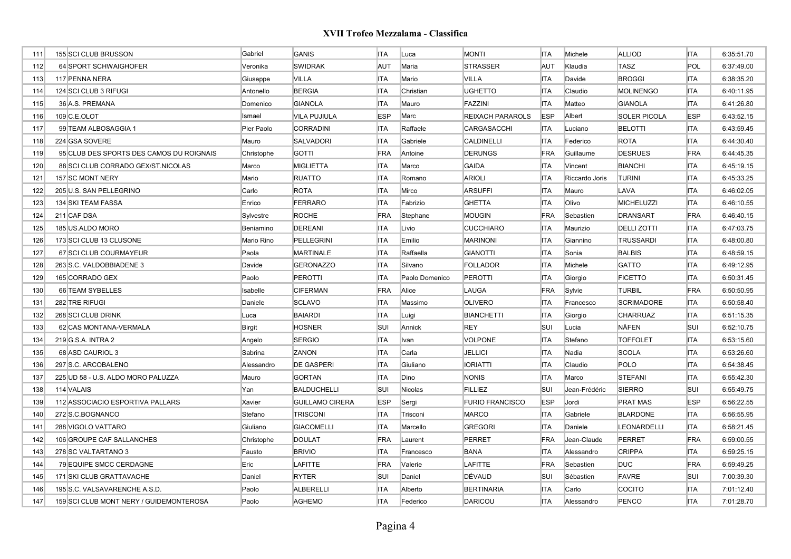| 111 | 155 SCI CLUB BRUSSON                     | Gabriel    | <b>GANIS</b>           | <b>ITA</b> | Luca           | <b>MONTI</b>            | <b>ITA</b> | Michele        | <b>ALLIOD</b>       | <b>ITA</b> | 6:35:51.70 |
|-----|------------------------------------------|------------|------------------------|------------|----------------|-------------------------|------------|----------------|---------------------|------------|------------|
| 112 | 64 SPORT SCHWAIGHOFER                    | Veronika   | <b>SWIDRAK</b>         | AUT        | Maria          | <b>STRASSER</b>         | <b>AUT</b> | Klaudia        | <b>TASZ</b>         | POL        | 6:37:49.00 |
| 113 | 117 PENNA NERA                           | Giuseppe   | <b>VILLA</b>           | <b>ITA</b> | Mario          | <b>VILLA</b>            | <b>ITA</b> | Davide         | <b>BROGGI</b>       | <b>ITA</b> | 6:38:35.20 |
| 114 | 124 SCI CLUB 3 RIFUGI                    | Antonello  | <b>BERGIA</b>          | <b>ITA</b> | Christian      | <b>UGHETTO</b>          | <b>ITA</b> | Claudio        | <b>MOLINENGO</b>    | <b>ITA</b> | 6:40:11.95 |
| 115 | 36 A.S. PREMANA                          | Domenico   | <b>GIANOLA</b>         | <b>ITA</b> | Mauro          | FAZZINI                 | <b>ITA</b> | Matteo         | <b>GIANOLA</b>      | <b>ITA</b> | 6:41:26.80 |
| 116 | 109 C.E.OLOT                             | Ismael     | <b>VILA PUJIULA</b>    | <b>ESP</b> | Marc           | <b>REIXACH PARAROLS</b> | <b>ESP</b> | Albert         | <b>SOLER PICOLA</b> | <b>ESP</b> | 6:43:52.15 |
| 117 | 99 TEAM ALBOSAGGIA 1                     | Pier Paolo | <b>CORRADINI</b>       | <b>ITA</b> | Raffaele       | CARGASACCHI             | <b>ITA</b> | Luciano        | <b>BELOTTI</b>      | <b>ITA</b> | 6:43:59.45 |
| 118 | 224 GSA SOVERE                           | Mauro      | <b>SALVADORI</b>       | <b>ITA</b> | Gabriele       | <b>CALDINELLI</b>       | <b>ITA</b> | Federico       | <b>ROTA</b>         | <b>ITA</b> | 6:44:30.40 |
| 119 | 95 CLUB DES SPORTS DES CAMOS DU ROIGNAIS | Christophe | <b>GOTTI</b>           | FRA        | Antoine        | <b>DERUNGS</b>          | <b>FRA</b> | Guillaume      | <b>DESRUES</b>      | FRA        | 6:44:45.35 |
| 120 | 88 SCI CLUB CORRADO GEX/ST.NICOLAS       | Marco      | <b>MIGLIETTA</b>       | <b>ITA</b> | Marco          | <b>GAIDA</b>            | <b>ITA</b> | Vincent        | <b>BIANCHI</b>      | <b>ITA</b> | 6:45:19.15 |
| 121 | 157 SC MONT NERY                         | Mario      | <b>RUATTO</b>          | <b>ITA</b> | Romano         | <b>ARIOLI</b>           | <b>ITA</b> | Riccardo Joris | <b>TURINI</b>       | <b>ITA</b> | 6:45:33.25 |
| 122 | 205 U.S. SAN PELLEGRINO                  | Carlo      | <b>ROTA</b>            | <b>ITA</b> | Mirco          | <b>ARSUFFI</b>          | <b>ITA</b> | Mauro          | LAVA                | <b>ITA</b> | 6:46:02.05 |
| 123 | 134 SKI TEAM FASSA                       | Enrico     | <b>FERRARO</b>         | <b>ITA</b> | Fabrizio       | <b>GHETTA</b>           | <b>ITA</b> | Olivo          | <b>MICHELUZZI</b>   | <b>ITA</b> | 6:46:10.55 |
| 124 | 211 CAF DSA                              | Sylvestre  | <b>ROCHE</b>           | FRA        | Stephane       | <b>MOUGIN</b>           | FRA        | Sebastien      | <b>DRANSART</b>     | <b>FRA</b> | 6:46:40.15 |
| 125 | 185 US.ALDO MORO                         | Beniamino  | <b>DEREANI</b>         | <b>ITA</b> | Livio          | <b>CUCCHIARO</b>        | <b>ITA</b> | Maurizio       | <b>DELLI ZOTTI</b>  | <b>ITA</b> | 6:47:03.75 |
| 126 | 173 SCI CLUB 13 CLUSONE                  | Mario Rino | PELLEGRINI             | <b>ITA</b> | Emilio         | <b>MARINONI</b>         | <b>ITA</b> | Giannino       | <b>TRUSSARDI</b>    | <b>ITA</b> | 6:48:00.80 |
| 127 | 67 SCI CLUB COURMAYEUR                   | Paola      | <b>MARTINALE</b>       | <b>ITA</b> | Raffaella      | <b>GIANOTTI</b>         | <b>ITA</b> | Sonia          | <b>BALBIS</b>       | <b>ITA</b> | 6:48:59.15 |
| 128 | 263 S.C. VALDOBBIADENE 3                 | Davide     | <b>GERONAZZO</b>       | <b>ITA</b> | Silvano        | <b>FOLLADOR</b>         | <b>ITA</b> | Michele        | <b>GATTO</b>        | <b>ITA</b> | 6:49:12.95 |
| 129 | 165 CORRADO GEX                          | Paolo      | <b>PEROTTI</b>         | <b>ITA</b> | Paolo Domenico | <b>PEROTTI</b>          | <b>ITA</b> | Giorgio        | <b>FICETTO</b>      | <b>ITA</b> | 6:50:31.45 |
| 130 | 66 TEAM SYBELLES                         | Isabelle   | <b>CIFERMAN</b>        | FRA        | Alice          | LAUGA                   | <b>FRA</b> | Sylvie         | <b>TURBIL</b>       | <b>FRA</b> | 6:50:50.95 |
| 131 | 282 TRE RIFUGI                           | Daniele    | <b>SCLAVO</b>          | <b>ITA</b> | Massimo        | <b>OLIVERO</b>          | <b>ITA</b> | Francesco      | <b>SCRIMADORE</b>   | <b>ITA</b> | 6:50:58.40 |
| 132 | 268 SCI CLUB DRINK                       | Luca       | <b>BAIARDI</b>         | <b>ITA</b> | Luigi          | <b>BIANCHETTI</b>       | <b>ITA</b> | Giorgio        | <b>CHARRUAZ</b>     | <b>ITA</b> | 6:51:15.35 |
| 133 | 62 CAS MONTANA-VERMALA                   | Birgit     | <b>HOSNER</b>          | SUI        | Annick         | <b>REY</b>              | <b>SUI</b> | Lucia          | <b>NÄFEN</b>        | <b>SUI</b> | 6:52:10.75 |
| 134 | 219 G.S.A. INTRA 2                       | Angelo     | <b>SERGIO</b>          | <b>ITA</b> | Ivan           | <b>VOLPONE</b>          | <b>ITA</b> | Stefano        | <b>TOFFOLET</b>     | <b>ITA</b> | 6:53:15.60 |
| 135 | 68 ASD CAURIOL 3                         | Sabrina    | <b>ZANON</b>           | <b>ITA</b> | Carla          | <b>JELLICI</b>          | <b>ITA</b> | Nadia          | <b>SCOLA</b>        | <b>ITA</b> | 6:53:26.60 |
| 136 | 297 S.C. ARCOBALENO                      | Alessandro | <b>DE GASPERI</b>      | <b>ITA</b> | Giuliano       | <b>IORIATTI</b>         | <b>ITA</b> | Claudio        | <b>POLO</b>         | <b>ITA</b> | 6:54:38.45 |
| 137 | 225 UD 58 - U.S. ALDO MORO PALUZZA       | Mauro      | <b>GORTAN</b>          | <b>ITA</b> | Dino           | <b>NONIS</b>            | <b>ITA</b> | Marco          | <b>STEFANI</b>      | <b>ITA</b> | 6:55:42.30 |
| 138 | 114 VALAIS                               | Yan        | <b>BALDUCHELLI</b>     | SUI        | Nicolas        | <b>FILLIEZ</b>          | SUI        | Jean-Frédéric  | <b>SIERRO</b>       | <b>SUI</b> | 6:55:49.75 |
| 139 | 112 ASSOCIACIO ESPORTIVA PALLARS         | Xavier     | <b>GUILLAMO CIRERA</b> | <b>ESP</b> | Sergi          | <b>FURIO FRANCISCO</b>  | <b>ESP</b> | Jordi          | <b>PRAT MAS</b>     | <b>ESP</b> | 6:56:22.55 |
| 140 | 272 S.C.BOGNANCO                         | Stefano    | <b>TRISCONI</b>        | <b>ITA</b> | Trisconi       | <b>MARCO</b>            | <b>ITA</b> | Gabriele       | <b>BLARDONE</b>     | <b>ITA</b> | 6:56:55.95 |
| 141 | 288 VIGOLO VATTARO                       | Giuliano   | <b>GIACOMELLI</b>      | <b>ITA</b> | Marcello       | <b>GREGORI</b>          | <b>ITA</b> | Daniele        | <b>LEONARDELLI</b>  | <b>ITA</b> | 6:58:21.45 |
| 142 | 106 GROUPE CAF SALLANCHES                | Christophe | <b>DOULAT</b>          | FRA        | Laurent        | <b>PERRET</b>           | FRA        | Jean-Claude    | <b>PERRET</b>       | FRA        | 6:59:00.55 |
| 143 | 278 SC VALTARTANO 3                      | Fausto     | <b>BRIVIO</b>          | <b>ITA</b> | Francesco      | <b>BANA</b>             | <b>ITA</b> | Alessandro     | <b>CRIPPA</b>       | <b>ITA</b> | 6:59:25.15 |
| 144 | 79 EQUIPE SMCC CERDAGNE                  | Eric       | <b>LAFITTE</b>         | FRA        | Valerie        | <b>LAFITTE</b>          | FRA        | Sebastien      | <b>DUC</b>          | FRA        | 6:59:49.25 |
| 145 | 171 SKI CLUB GRATTAVACHE                 | Daniel     | <b>RYTER</b>           | <b>SUI</b> | Daniel         | DÉVAUD                  | SUI        | Sébastien      | <b>FAVRE</b>        | <b>SUI</b> | 7:00:39.30 |
| 146 | 195 S.C. VALSAVARENCHE A.S.D.            | Paolo      | <b>ALBERELLI</b>       | <b>ITA</b> | Alberto        | <b>BERTINARIA</b>       | <b>ITA</b> | Carlo          | COCITO              | <b>ITA</b> | 7:01:12.40 |
| 147 | 159 SCI CLUB MONT NERY / GUIDEMONTEROSA  | Paolo      | <b>AGHEMO</b>          | <b>ITA</b> | Federico       | <b>DARICOU</b>          | <b>ITA</b> | Alessandro     | PENCO               | <b>ITA</b> | 7:01:28.70 |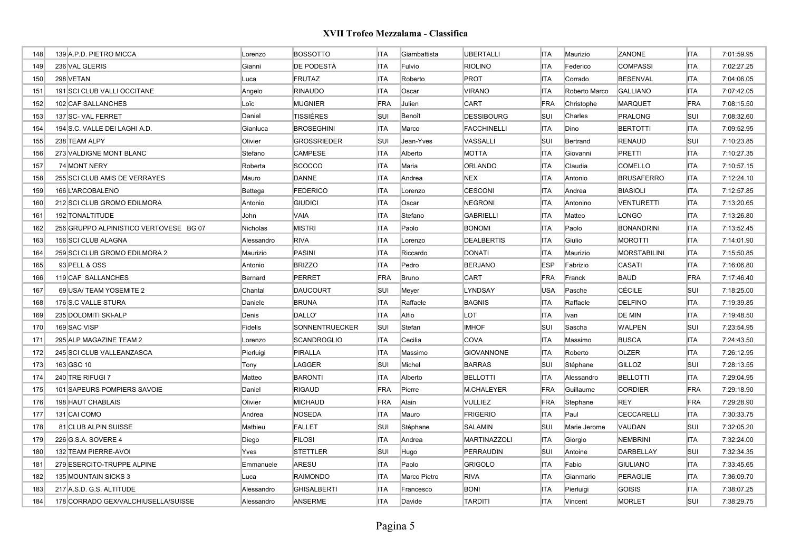| 148 | 139 A.P.D. PIETRO MICCA                | Lorenzo    | <b>BOSSOTTO</b>       | <b>ITA</b> | Giambattista | <b>UBERTALLI</b>   | <b>ITA</b> | Maurizio      | ZANONE              | <b>ITA</b> | 7:01:59.95 |
|-----|----------------------------------------|------------|-----------------------|------------|--------------|--------------------|------------|---------------|---------------------|------------|------------|
| 149 | 236 VAL GLERIS                         | Gianni     | DE PODESTÀ            | <b>ITA</b> | Fulvio       | <b>RIOLINO</b>     | <b>ITA</b> | Federico      | <b>COMPASSI</b>     | <b>ITA</b> | 7:02:27.25 |
| 150 | 298 VETAN                              | Luca       | <b>FRUTAZ</b>         | <b>ITA</b> | Roberto      | <b>PROT</b>        | <b>ITA</b> | Corrado       | <b>BESENVAL</b>     | <b>ITA</b> | 7:04:06.05 |
| 151 | 191 SCI CLUB VALLI OCCITANE            | Angelo     | <b>RINAUDO</b>        | <b>ITA</b> | Oscar        | <b>VIRANO</b>      | <b>ITA</b> | Roberto Marco | <b>GALLIANO</b>     | <b>ITA</b> | 7:07:42.05 |
| 152 | 102 CAF SALLANCHES                     | Loïc       | <b>MUGNIER</b>        | FRA        | Julien       | <b>CART</b>        | FRA        | Christophe    | <b>MARQUET</b>      | FRA        | 7:08:15.50 |
| 153 | 137 SC- VAL FERRET                     | Daniel     | <b>TISSIÈRES</b>      | SUI        | Benoît       | <b>DESSIBOURG</b>  | <b>SUI</b> | Charles       | <b>PRALONG</b>      | <b>SUI</b> | 7:08:32.60 |
| 154 | 194 S.C. VALLE DEI LAGHI A.D.          | Gianluca   | <b>BROSEGHINI</b>     | <b>ITA</b> | Marco        | <b>FACCHINELLI</b> | <b>ITA</b> | Dino          | <b>BERTOTTI</b>     | <b>ITA</b> | 7:09:52.95 |
| 155 | 238 TEAM ALPY                          | Olivier    | <b>GROSSRIEDER</b>    | SUI        | Jean-Yves    | VASSALLI           | <b>SUI</b> | Bertrand      | <b>RENAUD</b>       | <b>SUI</b> | 7:10:23.85 |
| 156 | 273 VALDIGNE MONT BLANC                | Stefano    | <b>CAMPESE</b>        | <b>ITA</b> | Alberto      | <b>MOTTA</b>       | <b>ITA</b> | Giovanni      | <b>PRETTI</b>       | <b>ITA</b> | 7:10:27.35 |
| 157 | 74 MONT NERY                           | Roberta    | <b>SCOCCO</b>         | <b>ITA</b> | Maria        | <b>ORLANDO</b>     | <b>ITA</b> | Claudia       | <b>COMELLO</b>      | <b>ITA</b> | 7:10:57.15 |
| 158 | 255 SCI CLUB AMIS DE VERRAYES          | Mauro      | <b>DANNE</b>          | <b>ITA</b> | Andrea       | <b>NEX</b>         | <b>ITA</b> | Antonio       | <b>BRUSAFERRO</b>   | <b>ITA</b> | 7:12:24.10 |
| 159 | 166 L'ARCOBALENO                       | Bettega    | <b>FEDERICO</b>       | <b>ITA</b> | Lorenzo      | <b>CESCONI</b>     | <b>ITA</b> | Andrea        | <b>BIASIOLI</b>     | <b>ITA</b> | 7:12:57.85 |
| 160 | 212 SCI CLUB GROMO EDILMORA            | Antonio    | <b>GIUDICI</b>        | <b>ITA</b> | Oscar        | <b>NEGRONI</b>     | <b>ITA</b> | Antonino      | <b>VENTURETTI</b>   | <b>ITA</b> | 7:13:20.65 |
| 161 | 192 TONALTITUDE                        | John       | <b>VAIA</b>           | <b>ITA</b> | Stefano      | <b>GABRIELLI</b>   | <b>ITA</b> | Matteo        | <b>LONGO</b>        | <b>ITA</b> | 7:13:26.80 |
| 162 | 256 GRUPPO ALPINISTICO VERTOVESE BG 07 | Nicholas   | <b>MISTRI</b>         | <b>ITA</b> | Paolo        | <b>BONOMI</b>      | <b>ITA</b> | Paolo         | <b>BONANDRINI</b>   | <b>ITA</b> | 7:13:52.45 |
| 163 | 156 SCI CLUB ALAGNA                    | Alessandro | <b>RIVA</b>           | <b>ITA</b> | Lorenzo      | <b>DEALBERTIS</b>  | <b>ITA</b> | Giulio        | <b>MOROTTI</b>      | <b>ITA</b> | 7:14:01.90 |
| 164 | 259 SCI CLUB GROMO EDILMORA 2          | Maurizio   | <b>PASINI</b>         | <b>ITA</b> | Riccardo     | <b>DONATI</b>      | <b>ITA</b> | Maurizio      | <b>MORSTABILINI</b> | <b>ITA</b> | 7:15:50.85 |
| 165 | 93 PELL & OSS                          | Antonio    | <b>BRIZZO</b>         | <b>ITA</b> | Pedro        | <b>BERJANO</b>     | <b>ESP</b> | Fabrizio      | <b>CASATI</b>       | <b>ITA</b> | 7:16:06.80 |
| 166 | 119 CAF SALLANCHES                     | Bernard    | <b>PERRET</b>         | FRA        | Bruno        | <b>CART</b>        | FRA        | Franck        | <b>BAUD</b>         | <b>FRA</b> | 7:17:46.40 |
| 167 | 69 USA/ TEAM YOSEMITE 2                | Chantal    | <b>DAUCOURT</b>       | SUI        | Meyer        | <b>LYNDSAY</b>     | <b>USA</b> | Pasche        | <b>CÉCILE</b>       | <b>SUI</b> | 7:18:25.00 |
| 168 | 176 S.C VALLE STURA                    | Daniele    | <b>BRUNA</b>          | <b>ITA</b> | Raffaele     | <b>BAGNIS</b>      | <b>ITA</b> | Raffaele      | <b>DELFINO</b>      | <b>ITA</b> | 7:19:39.85 |
| 169 | 235 DOLOMITI SKI-ALP                   | Denis      | DALLO'                | <b>ITA</b> | Alfio        | <b>LOT</b>         | <b>ITA</b> | <b>Ivan</b>   | <b>DE MIN</b>       | <b>ITA</b> | 7:19:48.50 |
| 170 | 169 SAC VISP                           | Fidelis    | <b>SONNENTRUECKER</b> | SUI        | Stefan       | <b>IMHOF</b>       | <b>SUI</b> | Sascha        | <b>WALPEN</b>       | <b>SUI</b> | 7:23:54.95 |
| 171 | 295 ALP MAGAZINE TEAM 2                | Lorenzo    | <b>SCANDROGLIO</b>    | <b>ITA</b> | Cecilia      | <b>COVA</b>        | <b>ITA</b> | Massimo       | <b>BUSCA</b>        | <b>ITA</b> | 7:24:43.50 |
| 172 | 245 SCI CLUB VALLEANZASCA              | Pierluigi  | PIRALLA               | <b>ITA</b> | Massimo      | <b>GIOVANNONE</b>  | <b>ITA</b> | Roberto       | <b>OLZER</b>        | <b>ITA</b> | 7:26:12.95 |
| 173 | 163 GSC 10                             | Tony       | LAGGER                | SUI        | Michel       | <b>BARRAS</b>      | <b>SUI</b> | Stéphane      | <b>GILLOZ</b>       | <b>SUI</b> | 7:28:13.55 |
| 174 | 240 TRE RIFUGI 7                       | Matteo     | <b>BARONTI</b>        | <b>ITA</b> | Alberto      | <b>BELLOTTI</b>    | <b>ITA</b> | Alessandro    | <b>BELLOTTI</b>     | <b>ITA</b> | 7:29:04.95 |
| 175 | 101 SAPEURS POMPIERS SAVOIE            | Daniel     | <b>RIGAUD</b>         | FRA        | Pierre       | M.CHALEYER         | FRA        | Guillaume     | <b>CORDIER</b>      | FRA        | 7:29:18.90 |
| 176 | 198 HAUT CHABLAIS                      | Olivier    | <b>MICHAUD</b>        | FRA        | Alain        | <b>VULLIEZ</b>     | FRA        | Stephane      | <b>REY</b>          | FRA        | 7:29:28.90 |
| 177 | 131 CAI COMO                           | Andrea     | <b>NOSEDA</b>         | <b>ITA</b> | Mauro        | FRIGERIO           | <b>ITA</b> | Paul          | CECCARELLI          | <b>ITA</b> | 7:30:33.75 |
| 178 | 81 CLUB ALPIN SUISSE                   | Mathieu    | <b>FALLET</b>         | SUI        | Stéphane     | <b>SALAMIN</b>     | <b>SUI</b> | Marie Jerome  | VAUDAN              | <b>SUI</b> | 7:32:05.20 |
| 179 | 226 G.S.A. SOVERE 4                    | Diego      | <b>FILOSI</b>         | <b>ITA</b> | Andrea       | MARTINAZZOLI       | <b>ITA</b> | Giorgio       | <b>NEMBRINI</b>     | <b>ITA</b> | 7:32:24.00 |
| 180 | 132 TEAM PIERRE-AVOI                   | Yves       | <b>STETTLER</b>       | SUI        | Hugo         | PERRAUDIN          | <b>SUI</b> | Antoine       | DARBELLAY           | <b>SUI</b> | 7:32:34.35 |
| 181 | 279 ESERCITO-TRUPPE ALPINE             | Emmanuele  | ARESU                 | <b>ITA</b> | Paolo        | <b>GRIGOLO</b>     | <b>ITA</b> | Fabio         | <b>GIULIANO</b>     | <b>ITA</b> | 7:33:45.65 |
| 182 | 135 MOUNTAIN SICKS 3                   | Luca       | <b>RAIMONDO</b>       | <b>ITA</b> | Marco Pietro | <b>RIVA</b>        | <b>ITA</b> | Gianmario     | PERAGLIE            | <b>ITA</b> | 7:36:09.70 |
| 183 | 217 A.S.D. G.S. ALTITUDE               | Alessandro | <b>GHISALBERTI</b>    | <b>ITA</b> | Francesco    | <b>BONI</b>        | <b>ITA</b> | Pierluigi     | <b>GOISIS</b>       | <b>ITA</b> | 7:38:07.25 |
| 184 | 178 CORRADO GEX/VALCHIUSELLA/SUISSE    | Alessandro | <b>ANSERME</b>        | <b>ITA</b> | Davide       | <b>TARDITI</b>     | <b>ITA</b> | Vincent       | <b>MORLET</b>       | SUI        | 7:38:29.75 |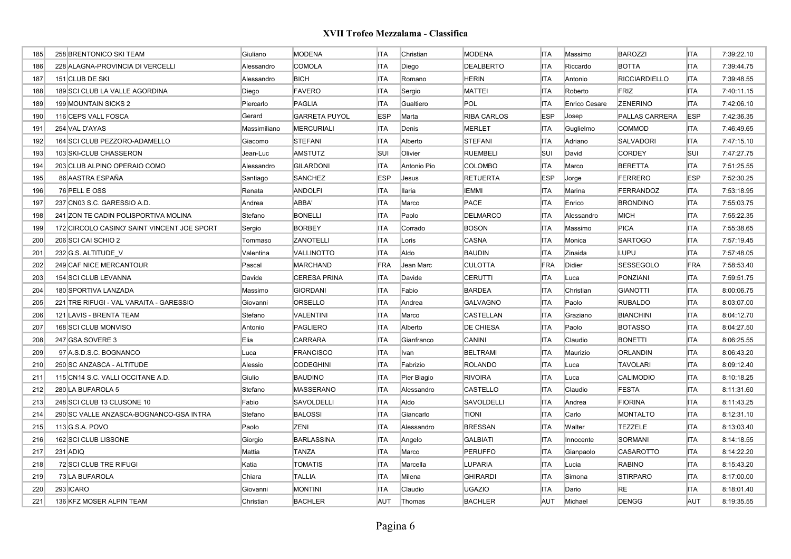| 185 | 258 BRENTONICO SKI TEAM                     | Giuliano     | <b>MODENA</b>        | <b>ITA</b> | Christian   | <b>MODENA</b>      | <b>ITA</b> | Massimo       | <b>BAROZZI</b>       | <b>ITA</b> | 7:39:22.10 |
|-----|---------------------------------------------|--------------|----------------------|------------|-------------|--------------------|------------|---------------|----------------------|------------|------------|
| 186 | 228 ALAGNA-PROVINCIA DI VERCELLI            | Alessandro   | <b>COMOLA</b>        | <b>ITA</b> | Diego       | <b>DEALBERTO</b>   | <b>ITA</b> | Riccardo      | <b>BOTTA</b>         | <b>ITA</b> | 7:39:44.75 |
| 187 | 151 CLUB DE SKI                             | Alessandro   | <b>BICH</b>          | <b>ITA</b> | Romano      | <b>HERIN</b>       | <b>ITA</b> | Antonio       | <b>RICCIARDIELLO</b> | <b>ITA</b> | 7:39:48.55 |
| 188 | 189 SCI CLUB LA VALLE AGORDINA              | Diego        | <b>FAVERO</b>        | <b>ITA</b> | Sergio      | <b>MATTEI</b>      | <b>ITA</b> | Roberto       | FRIZ                 | <b>ITA</b> | 7:40:11.15 |
| 189 | 199 MOUNTAIN SICKS 2                        | Piercarlo    | <b>PAGLIA</b>        | <b>ITA</b> | Gualtiero   | POL                | ITA        | Enrico Cesare | <b>ZENERINO</b>      | <b>ITA</b> | 7:42:06.10 |
| 190 | 116 CEPS VALL FOSCA                         | Gerard       | <b>GARRETA PUYOL</b> | <b>ESP</b> | Marta       | <b>RIBA CARLOS</b> | <b>ESP</b> | Josep         | PALLAS CARRERA       | <b>ESP</b> | 7:42:36.35 |
| 191 | 254 VAL D'AYAS                              | Massimiliano | <b>MERCURIALI</b>    | <b>ITA</b> | Denis       | <b>MERLET</b>      | ITA        | Guglielmo     | <b>COMMOD</b>        | <b>ITA</b> | 7:46:49.65 |
| 192 | 164 SCI CLUB PEZZORO-ADAMELLO               | Giacomo      | <b>STEFANI</b>       | <b>ITA</b> | Alberto     | <b>STEFANI</b>     | <b>ITA</b> | Adriano       | <b>SALVADORI</b>     | <b>ITA</b> | 7:47:15.10 |
| 193 | 103 SKI-CLUB CHASSERON                      | Jean-Luc     | <b>AMSTUTZ</b>       | <b>SUI</b> | Olivier     | <b>RUEMBELI</b>    | SUI        | David         | <b>CORDEY</b>        | <b>SUI</b> | 7:47:27.75 |
| 194 | 203 CLUB ALPINO OPERAIO COMO                | Alessandro   | <b>GILARDONI</b>     | <b>ITA</b> | Antonio Pio | <b>COLOMBO</b>     | <b>ITA</b> | Marco         | <b>BERETTA</b>       | <b>ITA</b> | 7:51:25.55 |
| 195 | 86 AASTRA ESPAÑA                            | Santiago     | <b>SANCHEZ</b>       | <b>ESP</b> | Jesus       | <b>RETUERTA</b>    | <b>ESP</b> | Jorge         | <b>FERRERO</b>       | <b>ESP</b> | 7:52:30.25 |
| 196 | 76 PELL E OSS                               | Renata       | <b>ANDOLFI</b>       | <b>ITA</b> | Ilaria      | IEMMI              | <b>ITA</b> | Marina        | <b>FERRANDOZ</b>     | <b>ITA</b> | 7:53:18.95 |
| 197 | 237 CN03 S.C. GARESSIO A.D.                 | Andrea       | ABBA'                | <b>ITA</b> | Marco       | <b>PACE</b>        | <b>ITA</b> | Enrico        | <b>BRONDINO</b>      | <b>ITA</b> | 7:55:03.75 |
| 198 | 241 ZON TE CADIN POLISPORTIVA MOLINA        | Stefano      | <b>BONELLI</b>       | <b>ITA</b> | Paolo       | <b>DELMARCO</b>    | <b>ITA</b> | Alessandro    | <b>MICH</b>          | <b>ITA</b> | 7:55:22.35 |
| 199 | 172 CIRCOLO CASINO' SAINT VINCENT JOE SPORT | Sergio       | <b>BORBEY</b>        | <b>ITA</b> | Corrado     | <b>BOSON</b>       | <b>ITA</b> | Massimo       | <b>PICA</b>          | <b>ITA</b> | 7:55:38.65 |
| 200 | 206 SCI CAI SCHIO 2                         | Tommaso      | ZANOTELLI            | <b>ITA</b> | Loris       | CASNA              | <b>ITA</b> | Monica        | <b>SARTOGO</b>       | <b>ITA</b> | 7:57:19.45 |
| 201 | 232 G.S. ALTITUDE V                         | Valentina    | VALLINOTTO           | <b>ITA</b> | Aldo        | <b>BAUDIN</b>      | <b>ITA</b> | Zinaida       | LUPU                 | <b>ITA</b> | 7:57:48.05 |
| 202 | 249 CAF NICE MERCANTOUR                     | Pascal       | <b>MARCHAND</b>      | FRA        | Jean Marc   | <b>CULOTTA</b>     | <b>FRA</b> | Didier        | <b>SESSEGOLO</b>     | <b>FRA</b> | 7:58:53.40 |
| 203 | 154 SCI CLUB LEVANNA                        | Davide       | <b>CERESA PRINA</b>  | <b>ITA</b> | Davide      | CERUTTI            | <b>ITA</b> | Luca          | PONZIANI             | <b>ITA</b> | 7:59:51.75 |
| 204 | 180 SPORTIVA LANZADA                        | Massimo      | <b>GIORDANI</b>      | <b>ITA</b> | Fabio       | <b>BARDEA</b>      | <b>ITA</b> | Christian     | <b>GIANOTTI</b>      | <b>ITA</b> | 8:00:06.75 |
| 205 | 221 TRE RIFUGI - VAL VARAITA - GARESSIO     | Giovanni     | ORSELLO              | <b>ITA</b> | Andrea      | GALVAGNO           | <b>ITA</b> | Paolo         | <b>RUBALDO</b>       | <b>ITA</b> | 8:03:07.00 |
| 206 | 121 LAVIS - BRENTA TEAM                     | Stefano      | <b>VALENTINI</b>     | <b>ITA</b> | Marco       | CASTELLAN          | <b>ITA</b> | Graziano      | <b>BIANCHINI</b>     | <b>ITA</b> | 8:04:12.70 |
| 207 | 168 SCI CLUB MONVISO                        | Antonio      | PAGLIERO             | <b>ITA</b> | Alberto     | DE CHIESA          | <b>ITA</b> | Paolo         | <b>BOTASSO</b>       | <b>ITA</b> | 8:04:27.50 |
| 208 | 247 GSA SOVERE 3                            | Elia         | <b>CARRARA</b>       | <b>ITA</b> | Gianfranco  | CANINI             | <b>ITA</b> | Claudio       | <b>BONETTI</b>       | <b>ITA</b> | 8:06:25.55 |
| 209 | 97 A.S.D.S.C. BOGNANCO                      | Luca         | <b>FRANCISCO</b>     | <b>ITA</b> | Ivan        | <b>BELTRAMI</b>    | <b>ITA</b> | Maurizio      | <b>ORLANDIN</b>      | <b>ITA</b> | 8:06:43.20 |
| 210 | 250 SC ANZASCA - ALTITUDE                   | Alessio      | <b>CODEGHINI</b>     | <b>ITA</b> | Fabrizio    | <b>ROLANDO</b>     | <b>ITA</b> | Luca          | <b>TAVOLARI</b>      | <b>ITA</b> | 8:09:12.40 |
| 211 | 115 CN14 S.C. VALLI OCCITANE A.D.           | Giulio       | <b>BAUDINO</b>       | <b>ITA</b> | Pier Biagio | <b>RIVOIRA</b>     | <b>ITA</b> | Luca          | <b>CALIMODIO</b>     | <b>ITA</b> | 8:10:18.25 |
| 212 | 280 LA BUFAROLA 5                           | Stefano      | <b>MASSERANO</b>     | <b>ITA</b> | Alessandro  | CASTELLO           | <b>ITA</b> | Claudio       | <b>FESTA</b>         | <b>ITA</b> | 8:11:31.60 |
| 213 | 248 SCI CLUB 13 CLUSONE 10                  | Fabio        | SAVOLDELLI           | <b>ITA</b> | Aldo        | SAVOLDELLI         | ITA        | Andrea        | <b>FIORINA</b>       | <b>ITA</b> | 8:11:43.25 |
| 214 | 290 SC VALLE ANZASCA-BOGNANCO-GSA INTRA     | Stefano      | <b>BALOSSI</b>       | <b>ITA</b> | Giancarlo   | <b>TIONI</b>       | <b>ITA</b> | Carlo         | <b>MONTALTO</b>      | <b>ITA</b> | 8:12:31.10 |
| 215 | 113 G.S.A. POVO                             | Paolo        | ZENI                 | <b>ITA</b> | Alessandro  | <b>BRESSAN</b>     | <b>ITA</b> | Walter        | <b>TEZZELE</b>       | <b>ITA</b> | 8:13:03.40 |
| 216 | 162 SCI CLUB LISSONE                        | Giorgio      | <b>BARLASSINA</b>    | <b>ITA</b> | Angelo      | <b>GALBIATI</b>    | <b>ITA</b> | Innocente     | <b>SORMANI</b>       | <b>ITA</b> | 8:14:18.55 |
| 217 | 231 ADIQ                                    | Mattia       | <b>TANZA</b>         | <b>ITA</b> | Marco       | <b>PERUFFO</b>     | <b>ITA</b> | Gianpaolo     | <b>CASAROTTO</b>     | <b>ITA</b> | 8:14:22.20 |
| 218 | 72 SCI CLUB TRE RIFUGI                      | Katia        | <b>TOMATIS</b>       | <b>ITA</b> | Marcella    | LUPARIA            | <b>ITA</b> | Lucia         | <b>RABINO</b>        | <b>ITA</b> | 8:15:43.20 |
| 219 | 73 LA BUFAROLA                              | Chiara       | <b>TALLIA</b>        | <b>ITA</b> | Milena      | <b>GHIRARDI</b>    | <b>ITA</b> | Simona        | <b>STIRPARO</b>      | <b>ITA</b> | 8:17:00.00 |
| 220 | 293 ICARO                                   | Giovanni     | <b>MONTINI</b>       | <b>ITA</b> | Claudio     | <b>UGAZIO</b>      | <b>ITA</b> | Dario         | <b>RE</b>            | <b>ITA</b> | 8:18:01.40 |
| 221 | 136 KFZ MOSER ALPIN TEAM                    | Christian    | <b>BACHLER</b>       | <b>AUT</b> | Thomas      | <b>BACHLER</b>     | AUT        | Michael       | <b>DENGG</b>         | AUT        | 8:19:35.55 |